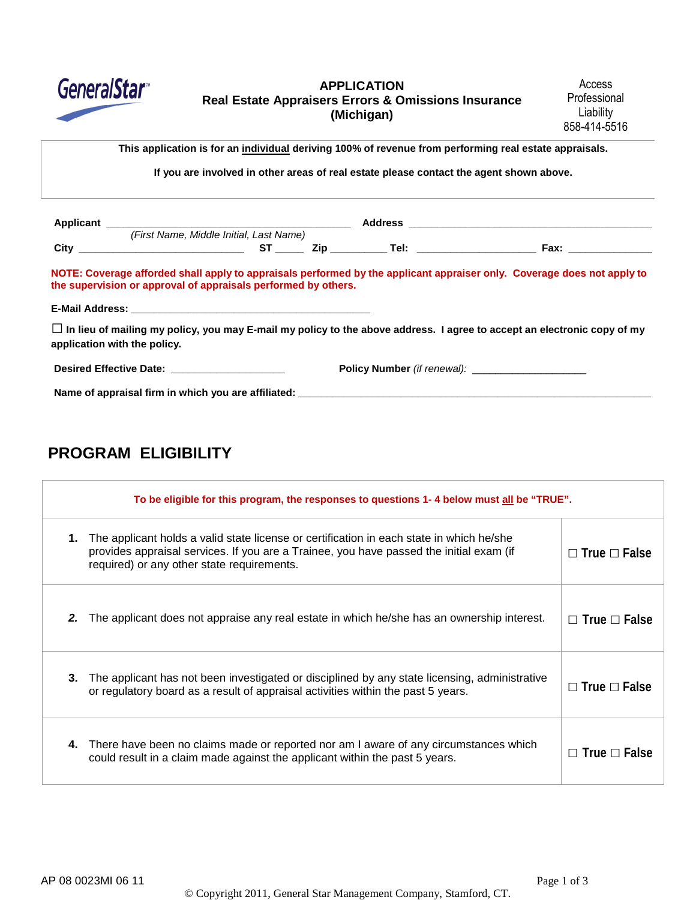

### **APPLICATION Real Estate Appraisers Errors & Omissions Insurance (Michigan)**

Access Professional Liability 858-414-5516

**This application is for an individual deriving 100% of revenue from performing real estate appraisals.**

**If you are involved in other areas of real estate please contact the agent shown above.**

|                                                                                             | (First Name, Middle Initial, Last Name) |  |                                                    |                                                                                                                                |
|---------------------------------------------------------------------------------------------|-----------------------------------------|--|----------------------------------------------------|--------------------------------------------------------------------------------------------------------------------------------|
|                                                                                             |                                         |  |                                                    |                                                                                                                                |
| the supervision or approval of appraisals performed by others.                              |                                         |  |                                                    | NOTE: Coverage afforded shall apply to appraisals performed by the applicant appraiser only. Coverage does not apply to        |
|                                                                                             |                                         |  |                                                    |                                                                                                                                |
| application with the policy.                                                                |                                         |  |                                                    | $\Box$ In lieu of mailing my policy, you may E-mail my policy to the above address. I agree to accept an electronic copy of my |
|                                                                                             |                                         |  | Policy Number (if renewal): ______________________ |                                                                                                                                |
| Name of appraisal firm in which you are affiliated: Name of approximation of appraisal firm |                                         |  |                                                    |                                                                                                                                |

# **PROGRAM ELIGIBILITY**

| To be eligible for this program, the responses to questions 1-4 below must all be "TRUE". |                                                                                                                                                                                     |                          |  |
|-------------------------------------------------------------------------------------------|-------------------------------------------------------------------------------------------------------------------------------------------------------------------------------------|--------------------------|--|
| 1.<br>required) or any other state requirements.                                          | The applicant holds a valid state license or certification in each state in which he/she<br>provides appraisal services. If you are a Trainee, you have passed the initial exam (if | $\Box$ True $\Box$ False |  |
| 2.                                                                                        | The applicant does not appraise any real estate in which he/she has an ownership interest.                                                                                          | $\Box$ True $\Box$ False |  |
| 3.                                                                                        | The applicant has not been investigated or disciplined by any state licensing, administrative<br>or regulatory board as a result of appraisal activities within the past 5 years.   | $\Box$ True $\Box$ False |  |
| 4.                                                                                        | There have been no claims made or reported nor am I aware of any circumstances which<br>could result in a claim made against the applicant within the past 5 years.                 | $\Box$ True $\Box$ False |  |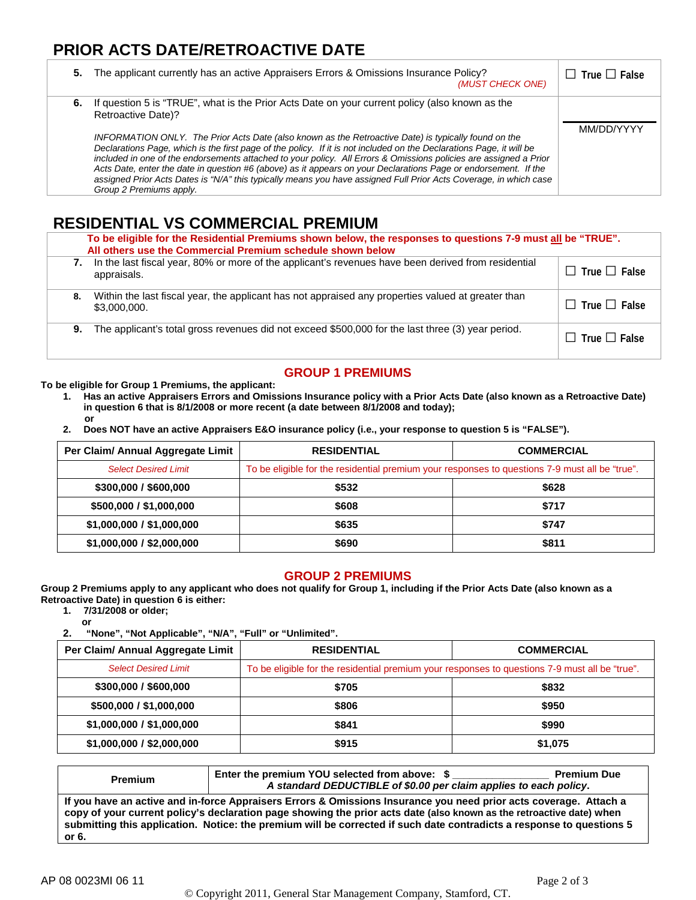# **PRIOR ACTS DATE/RETROACTIVE DATE**

|    | 5. The applicant currently has an active Appraisers Errors & Omissions Insurance Policy?<br>(MUST CHECK ONE)                                                                                                                                                                                                                                                                                                                                                                                                                                                                                                                                                                                                                                        | $\Box$ True $\Box$ False |
|----|-----------------------------------------------------------------------------------------------------------------------------------------------------------------------------------------------------------------------------------------------------------------------------------------------------------------------------------------------------------------------------------------------------------------------------------------------------------------------------------------------------------------------------------------------------------------------------------------------------------------------------------------------------------------------------------------------------------------------------------------------------|--------------------------|
| 6. | If question 5 is "TRUE", what is the Prior Acts Date on your current policy (also known as the<br><b>Retroactive Date)?</b><br>INFORMATION ONLY. The Prior Acts Date (also known as the Retroactive Date) is typically found on the<br>Declarations Page, which is the first page of the policy. If it is not included on the Declarations Page, it will be<br>included in one of the endorsements attached to your policy. All Errors & Omissions policies are assigned a Prior<br>Acts Date, enter the date in question #6 (above) as it appears on your Declarations Page or endorsement. If the<br>assigned Prior Acts Dates is "N/A" this typically means you have assigned Full Prior Acts Coverage, in which case<br>Group 2 Premiums apply. | MM/DD/YYYY               |

# **RESIDENTIAL VS COMMERCIAL PREMIUM**

| To be eligible for the Residential Premiums shown below, the responses to questions 7-9 must all be "TRUE".<br>All others use the Commercial Premium schedule shown below |                                                                                                                    |                          |  |
|---------------------------------------------------------------------------------------------------------------------------------------------------------------------------|--------------------------------------------------------------------------------------------------------------------|--------------------------|--|
| 7.                                                                                                                                                                        | In the last fiscal year, 80% or more of the applicant's revenues have been derived from residential<br>appraisals. | $\Box$ True $\Box$ False |  |
| 8.                                                                                                                                                                        | Within the last fiscal year, the applicant has not appraised any properties valued at greater than<br>\$3,000,000. | $\Box$ True $\Box$ False |  |
| 9.                                                                                                                                                                        | The applicant's total gross revenues did not exceed \$500,000 for the last three (3) year period.                  | $\Box$ True $\Box$ False |  |

## **GROUP 1 PREMIUMS**

**To be eligible for Group 1 Premiums, the applicant:**

- **1. Has an active Appraisers Errors and Omissions Insurance policy with a Prior Acts Date (also known as a Retroactive Date) in question 6 that is 8/1/2008 or more recent (a date between 8/1/2008 and today); or**
- **2. Does NOT have an active Appraisers E&O insurance policy (i.e., your response to question 5 is "FALSE").**

| Per Claim/ Annual Aggregate Limit | <b>RESIDENTIAL</b>                                                                             | <b>COMMERCIAL</b> |  |
|-----------------------------------|------------------------------------------------------------------------------------------------|-------------------|--|
| <b>Select Desired Limit</b>       | To be eligible for the residential premium your responses to questions 7-9 must all be "true". |                   |  |
| \$300,000 / \$600,000             | \$532                                                                                          | \$628             |  |
| \$500,000 / \$1,000,000           | \$608                                                                                          | \$717             |  |
| \$1,000,000 / \$1,000,000         | \$635                                                                                          | \$747             |  |
| \$1,000,000 / \$2,000,000         | \$690                                                                                          | \$811             |  |

#### **GROUP 2 PREMIUMS**

**Group 2 Premiums apply to any applicant who does not qualify for Group 1, including if the Prior Acts Date (also known as a Retroactive Date) in question 6 is either:**

**1. 7/31/2008 or older;**

**or 2. "None", "Not Applicable", "N/A", "Full" or "Unlimited".**

| Per Claim/ Annual Aggregate Limit | <b>COMMERCIAL</b><br><b>RESIDENTIAL</b>                                                        |         |
|-----------------------------------|------------------------------------------------------------------------------------------------|---------|
| <b>Select Desired Limit</b>       | To be eligible for the residential premium your responses to questions 7-9 must all be "true". |         |
| \$300,000 / \$600,000             | \$705                                                                                          | \$832   |
| \$500,000 / \$1,000,000           | \$806                                                                                          | \$950   |
| \$1,000,000 / \$1,000,000         | \$841                                                                                          | \$990   |
| \$1,000,000 / \$2,000,000         | \$915                                                                                          | \$1,075 |

| <b>Premium</b>                                                                                                                                                                                                                                                                                                                                                                | Enter the premium YOU selected from above: \$<br>A standard DEDUCTIBLE of \$0.00 per claim applies to each policy. | <b>Premium Due</b> |  |  |
|-------------------------------------------------------------------------------------------------------------------------------------------------------------------------------------------------------------------------------------------------------------------------------------------------------------------------------------------------------------------------------|--------------------------------------------------------------------------------------------------------------------|--------------------|--|--|
| If you have an active and in-force Appraisers Errors & Omissions Insurance you need prior acts coverage. Attach a<br>copy of your current policy's declaration page showing the prior acts date (also known as the retroactive date) when<br>submitting this application. Notice: the premium will be corrected if such date contradicts a response to questions 5<br>or $6.$ |                                                                                                                    |                    |  |  |
|                                                                                                                                                                                                                                                                                                                                                                               |                                                                                                                    |                    |  |  |